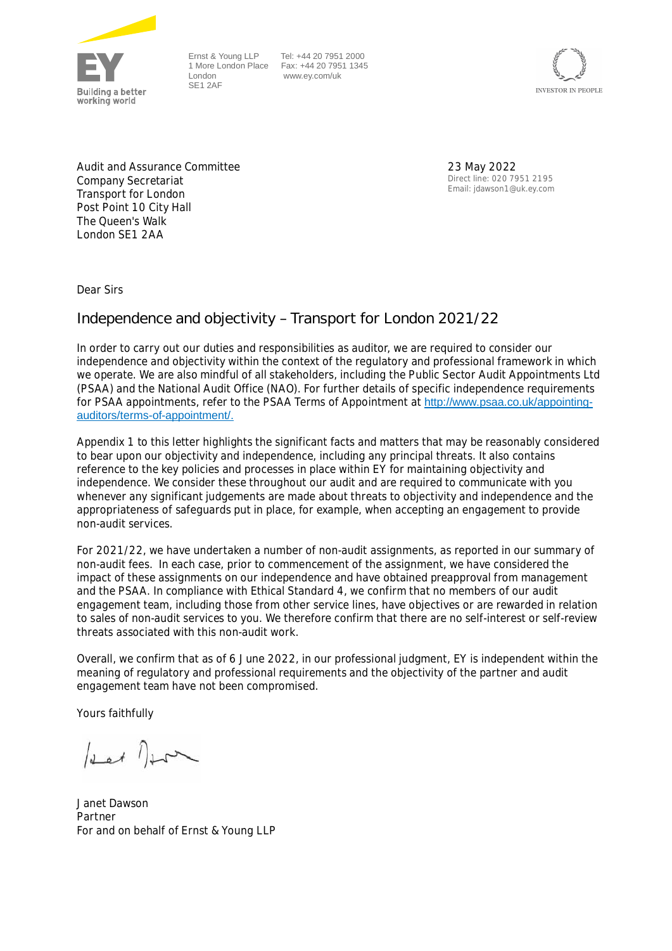

Ernst & Young LLP London SE1 2AF

1 More London Place Fax: +44 20 7951 1345 Tel: +44 20 7951 2000 www.ey.com/uk



Audit and Assurance Committee Company Secretariat Transport for London Post Point 10 City Hall The Queen's Walk London SE1 2AA

23 May 2022 Direct line: 020 7951 2195 Email: jdawson1@uk.ey.com

Dear Sirs

# **Independence and objectivity – Transport for London 2021/22**

In order to carry out our duties and responsibilities as auditor, we are required to consider our independence and objectivity within the context of the regulatory and professional framework in which we operate. We are also mindful of all stakeholders, including the Public Sector Audit Appointments Ltd (PSAA) and the National Audit Office (NAO). For further details of specific independence requirements for PSAA appointments, refer to the PSAA Terms of Appointment at http://www.psaa.co.uk/appointingauditors/terms-of-appointment/.

Appendix 1 to this letter highlights the significant facts and matters that may be reasonably considered to bear upon our objectivity and independence, including any principal threats. It also contains reference to the key policies and processes in place within EY for maintaining objectivity and independence. We consider these throughout our audit and are required to communicate with you whenever any significant judgements are made about threats to objectivity and independence and the appropriateness of safeguards put in place, for example, when accepting an engagement to provide non-audit services.

For 2021/22, we have undertaken a number of non-audit assignments, as reported in our summary of non-audit fees. In each case, prior to commencement of the assignment, we have considered the impact of these assignments on our independence and have obtained preapproval from management and the PSAA. In compliance with Ethical Standard 4, we confirm that no members of our audit engagement team, including those from other service lines, have objectives or are rewarded in relation to sales of non-audit services to you. We therefore confirm that there are no self-interest or self-review threats associated with this non-audit work.

Overall, we confirm that as of 6 June 2022, in our professional judgment, EY is independent within the meaning of regulatory and professional requirements and the objectivity of the partner and audit engagement team have not been compromised.

Yours faithfully

 $\int_{\Delta}$  of  $\int_{\Delta}$ 

Janet Dawson Partner For and on behalf of Ernst & Young LLP